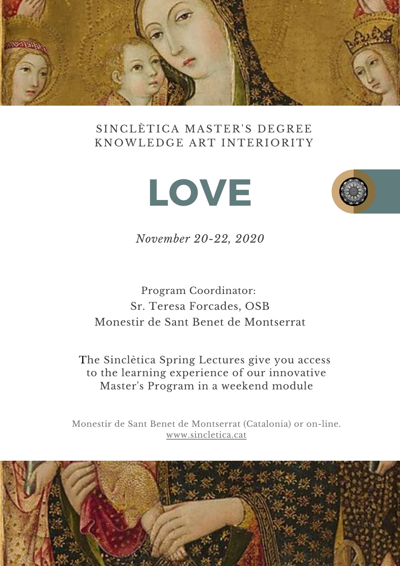

## SINCLÈTICA MASTER'S DEGREE KNOWLEDGE ART INTERIORITY





*November 20-22, 2020*

Program Coordinator: Sr. Teresa Forcades, OSB Monestir de Sant Benet de Montserrat

The Sinclètica Spring Lectures give you access to the learning experience of our innovative Master's Program in a weekend module

Monestir de Sant Benet de Montserrat (Catalonia) or on-line. [www.sincletica.cat](http://www.sincletica.cat/)